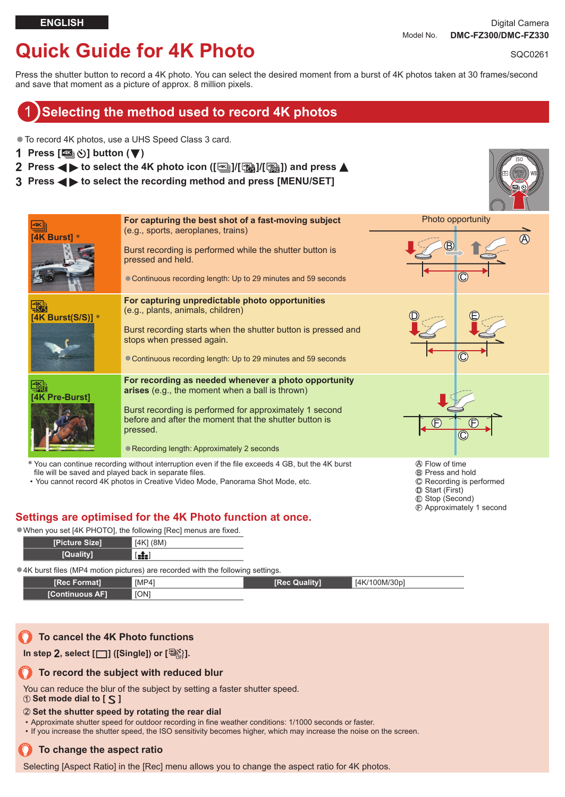Recording is performed

 Start (First)  $©$  Stop (Second) Approximately 1 second

# **Quick Guide for 4K Photo**

SQC0261

Press the shutter button to record a 4K photo. You can select the desired moment from a burst of 4K photos taken at 30 frames/second and save that moment as a picture of approx. 8 million pixels.

### 1 **Selecting the method used to record 4K photos**

●To record 4K photos, use a UHS Speed Class 3 card.

- **1 Press** [**<b>44**<sub>1</sub>(3)] button (▼)
- **2 Press ◀ ▶ to select the 4K photo icon ([** $\text{M}$ **]/[** $\text{M}$ **])** and press ▲
- **3 Press to select the recording method and press [MENU/SET]**



• You cannot record 4K photos in Creative Video Mode, Panorama Shot Mode, etc.

#### **Settings are optimised for the 4K Photo function at once.**

●When you set [4K PHOTO], the following [Rec] menus are fixed.

| [Picture Size] | [4K] (8M) |
|----------------|-----------|
| [Quality]      | $[-1]$    |
|                |           |

● 4K burst files (MP4 motion pictures) are recorded with the following settings.

| <b>IRec Format1</b>    | [MP4]       | [Rec Quality] | [4K/100M/30p] |
|------------------------|-------------|---------------|---------------|
| <b>[Continuous AF]</b> | <b>TON1</b> |               |               |

#### **To cancel the 4K Photo functions**

In step 2, select  $[\Box]$  ([Single]) or  $[\Box]$ <sup>2</sup>.

#### **To record the subject with reduced blur**

You can reduce the blur of the subject by setting a faster shutter speed.

#### **1** Set mode dial to [ $\leq$ ]

#### **Set the shutter speed by rotating the rear dial**

• Approximate shutter speed for outdoor recording in fine weather conditions: 1/1000 seconds or faster.

• If you increase the shutter speed, the ISO sensitivity becomes higher, which may increase the noise on the screen.

#### **To change the aspect ratio**

Selecting [Aspect Ratio] in the [Rec] menu allows you to change the aspect ratio for 4K photos.